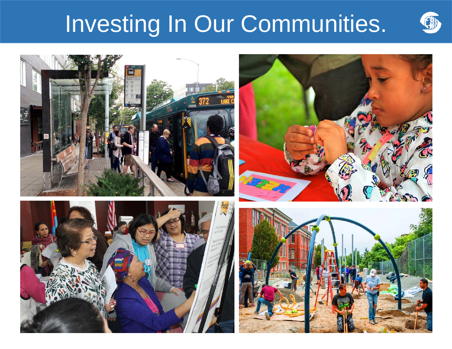# Investing In Our Communities.



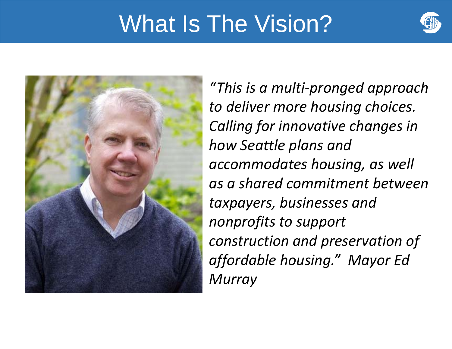## What Is The Vision?





*"This is a multi‐pronged approach to deliver more housing choices. Calling for innovative changes in how Seattle plans and accommodates housing, as well as a shared commitment between taxpayers, businesses and nonprofits to support construction and preservation of affordable housing." Mayor Ed Murray*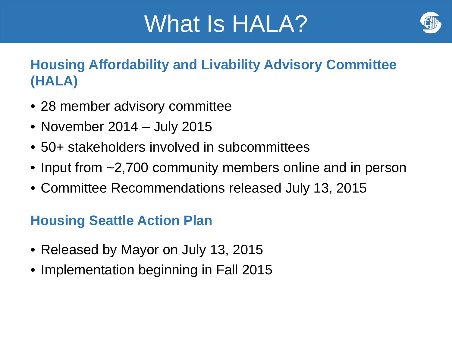## What Is HALA?



### **Housing Affordability and Livability Advisory Committee (HALA)**

- 28 member advisory committee
- November 2014 July 2015
- 50+ stakeholders involved in subcommittees
- Input from ~2,700 community members online and in person
- Committee Recommendations released July 13, 2015

### **Housing Seattle Action Plan**

- Released by Mayor on July 13, 2015
- Implementation beginning in Fall 2015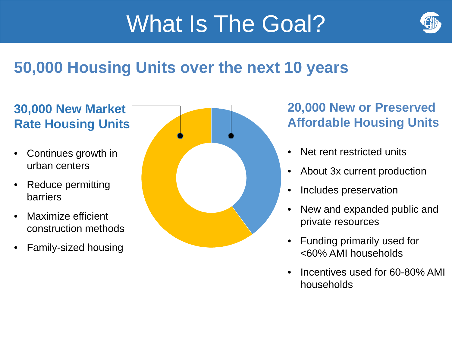# What Is The Goal?



### **50,000 Housing Units over the next 10 years**

### **30,000 New Market Rate Housing Units**

- $\bullet$  Continues growth in urban centers
- $\bullet$  Reduce permitting barriers
- $\bullet$  Maximize efficient construction methods
- $\bullet$ Family-sized housing



### **20,000 New or Preserved Affordable Housing Units**

- •Net rent restricted units
- •About 3x current production
- •Includes preservation
- • New and expanded public and private resources
- $\bullet$  Funding primarily used for <60% AMI households
- • Incentives used for 60-80% AMI households